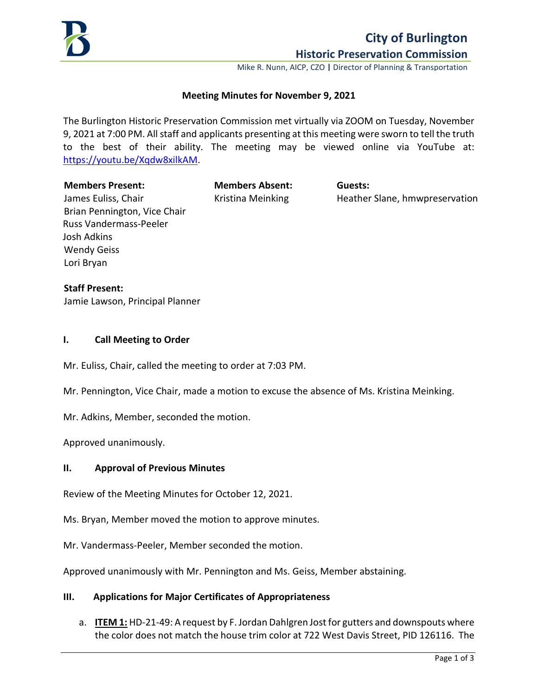

# **City of Burlington Historic Preservation Commission**

Mike R. Nunn, AICP, CZO **|** Director of Planning & Transportation

#### **Meeting Minutes for November 9, 2021**

The Burlington Historic Preservation Commission met virtually via ZOOM on Tuesday, November 9, 2021 at 7:00 PM. All staff and applicants presenting at this meeting were sworn to tell the truth to the best of their ability. The meeting may be viewed online via YouTube at: [https://youtu.be/Xqdw8xilkAM.](https://youtu.be/Xqdw8xilkAM)

#### **Members Present: Members Absent: Guests:**

Kristina Meinking **Heather Slane, hmwpreservation** 

James Euliss, Chair Brian Pennington, Vice Chair Russ Vandermass-Peeler Josh Adkins Wendy Geiss Lori Bryan

# **Staff Present:**

Jamie Lawson, Principal Planner

#### **I. Call Meeting to Order**

Mr. Euliss, Chair, called the meeting to order at 7:03 PM.

Mr. Pennington, Vice Chair, made a motion to excuse the absence of Ms. Kristina Meinking.

Mr. Adkins, Member, seconded the motion.

Approved unanimously.

#### **II. Approval of Previous Minutes**

Review of the Meeting Minutes for October 12, 2021.

Ms. Bryan, Member moved the motion to approve minutes.

Mr. Vandermass-Peeler, Member seconded the motion.

Approved unanimously with Mr. Pennington and Ms. Geiss, Member abstaining.

#### **III. Applications for Major Certificates of Appropriateness**

a. **ITEM 1:** HD-21-49: A request by F. Jordan Dahlgren Jost for gutters and downspouts where the color does not match the house trim color at 722 West Davis Street, PID 126116. The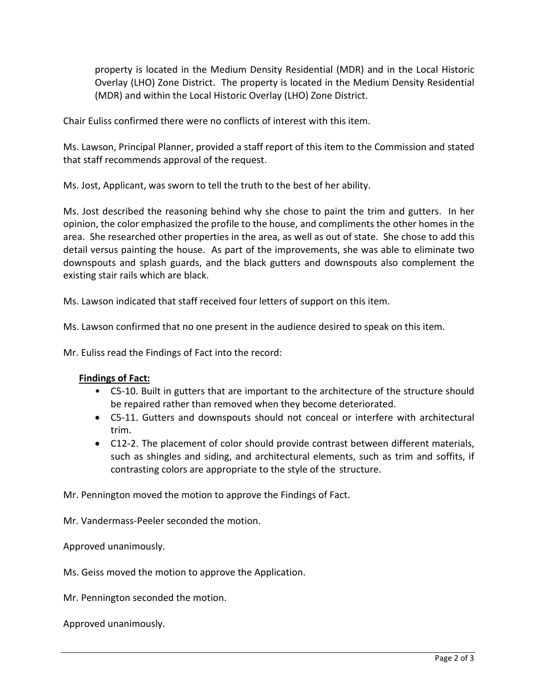property is located in the Medium Density Residential (MDR) and in the Local Historic Overlay (LHO) Zone District. The property is located in the Medium Density Residential (MDR) and within the Local Historic Overlay (LHO) Zone District.

Chair Euliss confirmed there were no conflicts of interest with this item.

Ms. Lawson, Principal Planner, provided a staff report of this item to the Commission and stated that staff recommends approval of the request.

Ms. Jost, Applicant, was sworn to tell the truth to the best of her ability.

Ms. Jost described the reasoning behind why she chose to paint the trim and gutters. In her opinion, the color emphasized the profile to the house, and compliments the other homes in the area. She researched other properties in the area, as well as out of state. She chose to add this detail versus painting the house. As part of the improvements, she was able to eliminate two downspouts and splash guards, and the black gutters and downspouts also complement the existing stair rails which are black.

Ms. Lawson indicated that staff received four letters of support on this item.

Ms. Lawson confirmed that no one present in the audience desired to speak on this item.

Mr. Euliss read the Findings of Fact into the record:

# **Findings of Fact:**

- C5-10. Built in gutters that are important to the architecture of the structure should be repaired rather than removed when they become deteriorated.
- C5-11. Gutters and downspouts should not conceal or interfere with architectural trim.
- C12-2. The placement of color should provide contrast between different materials, such as shingles and siding, and architectural elements, such as trim and soffits, if contrasting colors are appropriate to the style of the structure.

Mr. Pennington moved the motion to approve the Findings of Fact.

Mr. Vandermass-Peeler seconded the motion.

Approved unanimously.

Ms. Geiss moved the motion to approve the Application.

Mr. Pennington seconded the motion.

Approved unanimously.